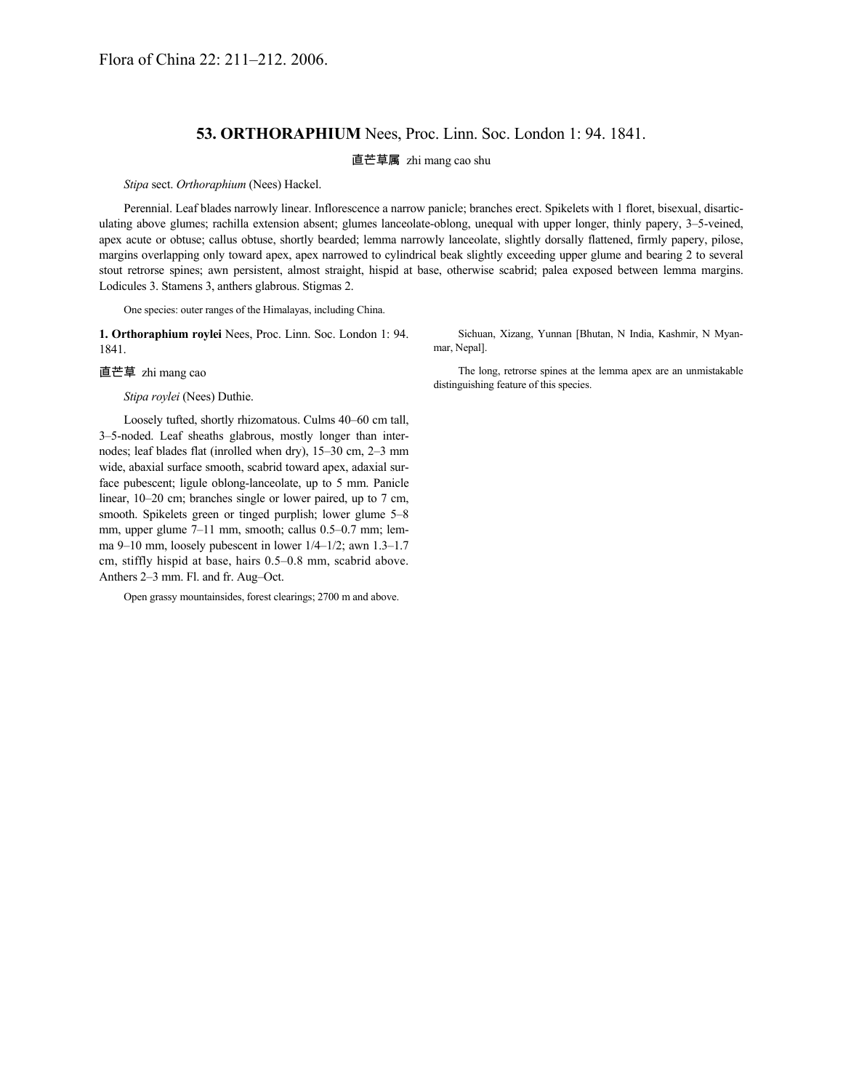## **53. ORTHORAPHIUM** Nees, Proc. Linn. Soc. London 1: 94. 1841.

直芒草属 zhi mang cao shu

*Stipa* sect. *Orthoraphium* (Nees) Hackel.

Perennial. Leaf blades narrowly linear. Inflorescence a narrow panicle; branches erect. Spikelets with 1 floret, bisexual, disarticulating above glumes; rachilla extension absent; glumes lanceolate-oblong, unequal with upper longer, thinly papery, 3–5-veined, apex acute or obtuse; callus obtuse, shortly bearded; lemma narrowly lanceolate, slightly dorsally flattened, firmly papery, pilose, margins overlapping only toward apex, apex narrowed to cylindrical beak slightly exceeding upper glume and bearing 2 to several stout retrorse spines; awn persistent, almost straight, hispid at base, otherwise scabrid; palea exposed between lemma margins. Lodicules 3. Stamens 3, anthers glabrous. Stigmas 2.

One species: outer ranges of the Himalayas, including China.

**1. Orthoraphium roylei** Nees, Proc. Linn. Soc. London 1: 94. 1841.

直芒草 zhi mang cao

*Stipa roylei* (Nees) Duthie.

Loosely tufted, shortly rhizomatous. Culms 40–60 cm tall, 3–5-noded. Leaf sheaths glabrous, mostly longer than internodes; leaf blades flat (inrolled when dry), 15–30 cm, 2–3 mm wide, abaxial surface smooth, scabrid toward apex, adaxial surface pubescent; ligule oblong-lanceolate, up to 5 mm. Panicle linear, 10–20 cm; branches single or lower paired, up to 7 cm, smooth. Spikelets green or tinged purplish; lower glume 5–8 mm, upper glume 7–11 mm, smooth; callus 0.5–0.7 mm; lemma 9–10 mm, loosely pubescent in lower 1/4–1/2; awn 1.3–1.7 cm, stiffly hispid at base, hairs 0.5–0.8 mm, scabrid above. Anthers 2–3 mm. Fl. and fr. Aug–Oct.

Open grassy mountainsides, forest clearings; 2700 m and above.

Sichuan, Xizang, Yunnan [Bhutan, N India, Kashmir, N Myanmar, Nepal].

The long, retrorse spines at the lemma apex are an unmistakable distinguishing feature of this species.